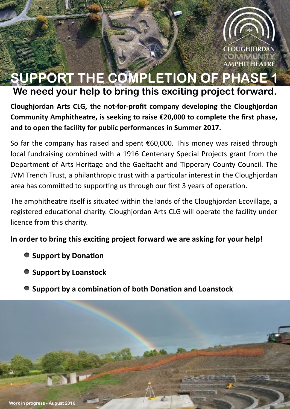

# SUPPORT THE COMPLETION OF PHASE We need your help to bring this exciting project forward.

Cloughjordan Arts CLG, the not-for-profit company developing the Cloughjordan Community Amphitheatre, is seeking to raise €20,000 to complete the first phase, and to open the facility for public performances in Summer 2017.

So far the company has raised and spent  $\epsilon$ 60,000. This money was raised through local fundraising combined with a 1916 Centenary Special Projects grant from the Department of Arts Heritage and the Gaeltacht and Tipperary County Council. The JVM Trench Trust, a philanthropic trust with a particular interest in the Cloughjordan area has committed to supporting us through our first 3 years of operation.

The amphitheatre itself is situated within the lands of the Cloughiordan Ecovillage, a registered educational charity. Cloughjordan Arts CLG will operate the facility under licence from this charity.

In order to bring this exciting project forward we are asking for your help!

- Support by Donation
- Support by Loanstock
- Support by a combination of both Donation and Loanstock